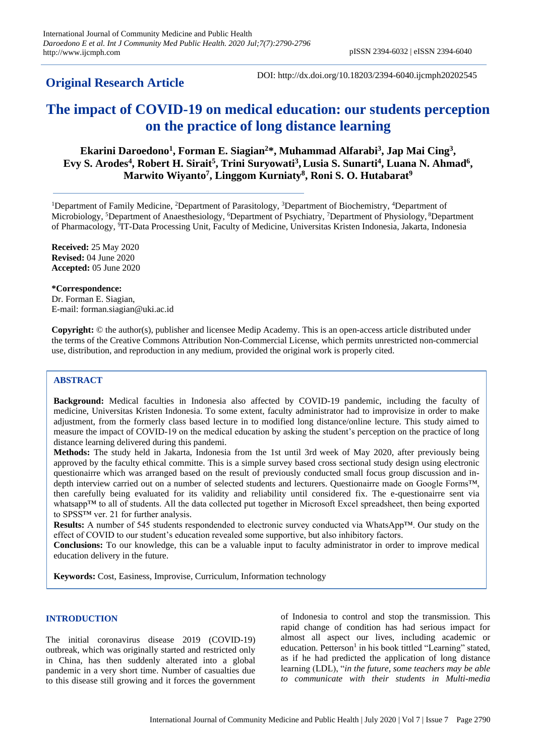**Original Research Article**

DOI: http://dx.doi.org/10.18203/2394-6040.ijcmph20202545

# **The impact of COVID-19 on medical education: our students perception on the practice of long distance learning**

**Ekarini Daroedono<sup>1</sup> , Forman E. Siagian<sup>2</sup>\*, Muhammad Alfarabi<sup>3</sup> , Jap Mai Cing<sup>3</sup> , Evy S. Arodes<sup>4</sup> , Robert H. Sirait<sup>5</sup> , Trini Suryowati<sup>3</sup> ,Lusia S. Sunarti<sup>4</sup> , Luana N. Ahmad<sup>6</sup> , Marwito Wiyanto<sup>7</sup> , Linggom Kurniaty<sup>8</sup> , Roni S. O. Hutabarat<sup>9</sup>**

<sup>1</sup>Department of Family Medicine, <sup>2</sup>Department of Parasitology, <sup>3</sup>Department of Biochemistry, <sup>4</sup>Department of Microbiology, <sup>5</sup>Department of Anaesthesiology, <sup>6</sup>Department of Psychiatry, <sup>7</sup>Department of Physiology, <sup>8</sup>Department of Pharmacology, <sup>9</sup>IT-Data Processing Unit, Faculty of Medicine, Universitas Kristen Indonesia, Jakarta, Indonesia

**Received:** 25 May 2020 **Revised:** 04 June 2020 **Accepted:** 05 June 2020

**\*Correspondence:** Dr. Forman E. Siagian, E-mail: forman.siagian@uki.ac.id

**Copyright:** © the author(s), publisher and licensee Medip Academy. This is an open-access article distributed under the terms of the Creative Commons Attribution Non-Commercial License, which permits unrestricted non-commercial use, distribution, and reproduction in any medium, provided the original work is properly cited.

# **ABSTRACT**

**Background:** Medical faculties in Indonesia also affected by COVID-19 pandemic, including the faculty of medicine, Universitas Kristen Indonesia. To some extent, faculty administrator had to improvisize in order to make adjustment, from the formerly class based lecture in to modified long distance/online lecture. This study aimed to measure the impact of COVID-19 on the medical education by asking the student's perception on the practice of long distance learning delivered during this pandemi.

**Methods:** The study held in Jakarta, Indonesia from the 1st until 3rd week of May 2020, after previously being approved by the faculty ethical committe. This is a simple survey based cross sectional study design using electronic questionairre which was arranged based on the result of previously conducted small focus group discussion and indepth interview carried out on a number of selected students and lecturers. Questionairre made on Google Forms™, then carefully being evaluated for its validity and reliability until considered fix. The e-questionairre sent via whatsapp™ to all of students. All the data collected put together in Microsoft Excel spreadsheet, then being exported to SPSS™ ver. 21 for further analysis.

**Results:** A number of 545 students respondended to electronic survey conducted via WhatsApp™. Our study on the effect of COVID to our student's education revealed some supportive, but also inhibitory factors.

**Conclusions:** To our knowledge, this can be a valuable input to faculty administrator in order to improve medical education delivery in the future.

**Keywords:** Cost, Easiness, Improvise, Curriculum, Information technology

#### **INTRODUCTION**

The initial coronavirus disease 2019 (COVID-19) outbreak, which was originally started and restricted only in China, has then suddenly alterated into a global pandemic in a very short time. Number of casualties due to this disease still growing and it forces the government

of Indonesia to control and stop the transmission. This rapid change of condition has had serious impact for almost all aspect our lives, including academic or education. Petterson<sup>1</sup> in his book tittled "Learning" stated, as if he had predicted the application of long distance learning (LDL), "*in the future, some teachers may be able to communicate with their students in Multi-media*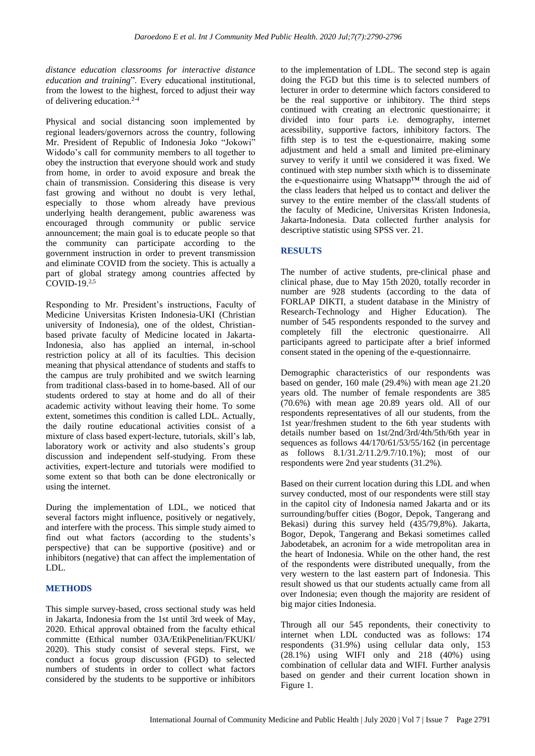*distance education classrooms for interactive distance education and training*". Every educational institutional, from the lowest to the highest, forced to adjust their way of delivering education.2-4

Physical and social distancing soon implemented by regional leaders/governors across the country, following Mr. President of Republic of Indonesia Joko "Jokowi" Widodo's call for community members to all together to obey the instruction that everyone should work and study from home, in order to avoid exposure and break the chain of transmission. Considering this disease is very fast growing and without no doubt is very lethal, especially to those whom already have previous underlying health derangement, public awareness was encouraged through community or public service announcement; the main goal is to educate people so that the community can participate according to the government instruction in order to prevent transmission and eliminate COVID from the society. This is actually a part of global strategy among countries affected by COVID- $19<sup>2,5</sup>$ 

Responding to Mr. President's instructions, Faculty of Medicine Universitas Kristen Indonesia-UKI (Christian university of Indonesia), one of the oldest, Christianbased private faculty of Medicine located in Jakarta-Indonesia, also has applied an internal, in-school restriction policy at all of its faculties. This decision meaning that physical attendance of students and staffs to the campus are truly prohibited and we switch learning from traditional class-based in to home-based. All of our students ordered to stay at home and do all of their academic activity without leaving their home. To some extent, sometimes this condition is called LDL. Actually, the daily routine educational activities consist of a mixture of class based expert-lecture, tutorials, skill's lab, laboratory work or activity and also students's group discussion and independent self-studying. From these activities, expert-lecture and tutorials were modified to some extent so that both can be done electronically or using the internet.

During the implementation of LDL, we noticed that several factors might influence, positively or negatively, and interfere with the process. This simple study aimed to find out what factors (according to the students's perspective) that can be supportive (positive) and or inhibitors (negative) that can affect the implementation of LDL.

## **METHODS**

This simple survey-based, cross sectional study was held in Jakarta, Indonesia from the 1st until 3rd week of May, 2020. Ethical approval obtained from the faculty ethical committe (Ethical number 03A/EtikPenelitian/FKUKI/ 2020). This study consist of several steps. First, we conduct a focus group discussion (FGD) to selected numbers of students in order to collect what factors considered by the students to be supportive or inhibitors

to the implementation of LDL. The second step is again doing the FGD but this time is to selected numbers of lecturer in order to determine which factors considered to be the real supportive or inhibitory. The third steps continued with creating an electronic questionairre; it divided into four parts i.e. demography, internet acessibility, supportive factors, inhibitory factors. The fifth step is to test the e-questionairre, making some adjustment and held a small and limited pre-eliminary survey to verify it until we considered it was fixed. We continued with step number sixth which is to disseminate the e-questionairre using Whatsapp™ through the aid of the class leaders that helped us to contact and deliver the survey to the entire member of the class/all students of the faculty of Medicine, Universitas Kristen Indonesia, Jakarta-Indonesia. Data collected further analysis for descriptive statistic using SPSS ver. 21.

## **RESULTS**

The number of active students, pre-clinical phase and clinical phase, due to May 15th 2020, totally recorder in number are 928 students (according to the data of FORLAP DIKTI, a student database in the Ministry of Research-Technology and Higher Education). The number of 545 respondents responded to the survey and completely fill the electronic questionairre. All participants agreed to participate after a brief informed consent stated in the opening of the e-questionnairre.

Demographic characteristics of our respondents was based on gender, 160 male (29.4%) with mean age 21.20 years old. The number of female respondents are 385 (70.6%) with mean age 20.89 years old. All of our respondents representatives of all our students, from the 1st year/freshmen student to the 6th year students with details number based on 1st/2nd/3rd/4th/5th/6th year in sequences as follows 44/170/61/53/55/162 (in percentage as follows 8.1/31.2/11.2/9.7/10.1%); most of our respondents were 2nd year students (31.2%).

Based on their current location during this LDL and when survey conducted, most of our respondents were still stay in the capitol city of Indonesia named Jakarta and or its surrounding/buffer cities (Bogor, Depok, Tangerang and Bekasi) during this survey held (435/79,8%). Jakarta, Bogor, Depok, Tangerang and Bekasi sometimes called Jabodetabek, an acronim for a wide metropolitan area in the heart of Indonesia. While on the other hand, the rest of the respondents were distributed unequally, from the very western to the last eastern part of Indonesia. This result showed us that our students actually came from all over Indonesia; even though the majority are resident of big major cities Indonesia.

Through all our 545 repondents, their conectivity to internet when LDL conducted was as follows: 174 respondents (31.9%) using cellular data only, 153 (28.1%) using WIFI only and 218 (40%) using combination of cellular data and WIFI. Further analysis based on gender and their current location shown in Figure 1.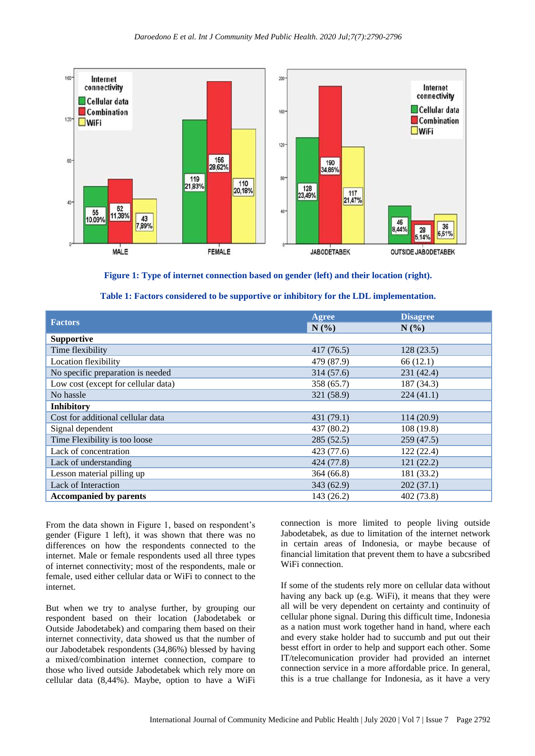

**Figure 1: Type of internet connection based on gender (left) and their location (right).**

| <b>Factors</b>                      | <b>Agree</b> | <b>Disagree</b> |
|-------------------------------------|--------------|-----------------|
|                                     | N(%)         | $N(\%)$         |
| <b>Supportive</b>                   |              |                 |
| Time flexibility                    | 417(76.5)    | 128(23.5)       |
| Location flexibility                | 479 (87.9)   | 66(12.1)        |
| No specific preparation is needed   | 314 (57.6)   | 231 (42.4)      |
| Low cost (except for cellular data) | 358 (65.7)   | 187 (34.3)      |
| No hassle                           | 321 (58.9)   | 224(41.1)       |
| <b>Inhibitory</b>                   |              |                 |
| Cost for additional cellular data   | 431 (79.1)   | 114(20.9)       |
| Signal dependent                    | 437 (80.2)   | 108 (19.8)      |
| Time Flexibility is too loose       | 285(52.5)    | 259(47.5)       |
| Lack of concentration               | 423 (77.6)   | 122(22.4)       |
| Lack of understanding               | 424 (77.8)   | 121(22.2)       |
| Lesson material pilling up          | 364(66.8)    | 181 (33.2)      |
| Lack of Interaction                 | 343(62.9)    | 202(37.1)       |
| <b>Accompanied by parents</b>       | 143 (26.2)   | 402 (73.8)      |

From the data shown in Figure 1, based on respondent's gender (Figure 1 left), it was shown that there was no differences on how the respondents connected to the internet. Male or female respondents used all three types of internet connectivity; most of the respondents, male or female, used either cellular data or WiFi to connect to the internet.

But when we try to analyse further, by grouping our respondent based on their location (Jabodetabek or Outside Jabodetabek) and comparing them based on their internet connectivity, data showed us that the number of our Jabodetabek respondents (34,86%) blessed by having a mixed/combination internet connection, compare to those who lived outside Jabodetabek which rely more on cellular data (8,44%). Maybe, option to have a WiFi connection is more limited to people living outside Jabodetabek, as due to limitation of the internet network in certain areas of Indonesia, or maybe because of financial limitation that prevent them to have a subcsribed WiFi connection.

If some of the students rely more on cellular data without having any back up (e.g. WiFi), it means that they were all will be very dependent on certainty and continuity of cellular phone signal. During this difficult time, Indonesia as a nation must work together hand in hand, where each and every stake holder had to succumb and put out their besst effort in order to help and support each other. Some IT/telecomunication provider had provided an internet connection service in a more affordable price. In general, this is a true challange for Indonesia, as it have a very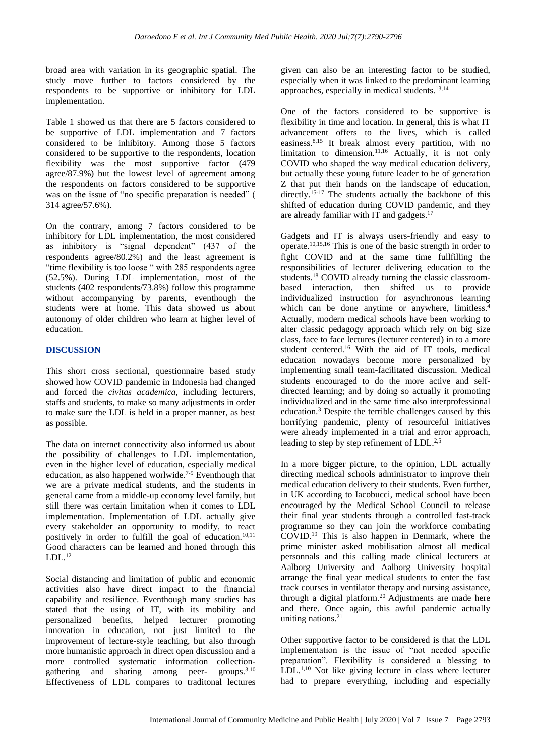broad area with variation in its geographic spatial. The study move further to factors considered by the respondents to be supportive or inhibitory for LDL implementation.

Table 1 showed us that there are 5 factors considered to be supportive of LDL implementation and 7 factors considered to be inhibitory. Among those 5 factors considered to be supportive to the respondents, location flexibility was the most supportive factor (479 agree/87.9%) but the lowest level of agreement among the respondents on factors considered to be supportive was on the issue of "no specific preparation is needed" ( 314 agree/57.6%).

On the contrary, among 7 factors considered to be inhibitory for LDL implementation, the most considered as inhibitory is "signal dependent" (437 of the respondents agree/80.2%) and the least agreement is "time flexibility is too loose " with 285 respondents agree (52.5%). During LDL implementation, most of the students (402 respondents/73.8%) follow this programme without accompanying by parents, eventhough the students were at home. This data showed us about autonomy of older children who learn at higher level of education.

#### **DISCUSSION**

This short cross sectional, questionnaire based study showed how COVID pandemic in Indonesia had changed and forced the *civitas academica*, including lecturers, staffs and students, to make so many adjustments in order to make sure the LDL is held in a proper manner, as best as possible.

The data on internet connectivity also informed us about the possibility of challenges to LDL implementation, even in the higher level of education, especially medical education, as also happened worlwide.7-9 Eventhough that we are a private medical students, and the students in general came from a middle-up economy level family, but still there was certain limitation when it comes to LDL implementation. Implementation of LDL actually give every stakeholder an opportunity to modify, to react positively in order to fulfill the goal of education.<sup>10,11</sup> Good characters can be learned and honed through this  $LDL<sup>12</sup>$ 

Social distancing and limitation of public and economic activities also have direct impact to the financial capability and resilience. Eventhough many studies has stated that the using of IT, with its mobility and personalized benefits, helped lecturer promoting innovation in education, not just limited to the improvement of lecture-style teaching, but also through more humanistic approach in direct open discussion and a more controlled systematic information collectiongathering and sharing among peer- groups.<sup>3,10</sup> Effectiveness of LDL compares to traditonal lectures

given can also be an interesting factor to be studied, especially when it was linked to the predominant learning approaches, especially in medical students.13,14

One of the factors considered to be supportive is flexibility in time and location. In general, this is what IT advancement offers to the lives, which is called easiness.8,15 It break almost every partition, with no limitation to dimension.<sup>11,16</sup> Actually, it is not only COVID who shaped the way medical education delivery, but actually these young future leader to be of generation Z that put their hands on the landscape of education. directly.<sup>15-17</sup> The students actually the backbone of this shifted of education during COVID pandemic, and they are already familiar with IT and gadgets.<sup>17</sup>

Gadgets and IT is always users-friendly and easy to operate.10,15,16 This is one of the basic strength in order to fight COVID and at the same time fullfilling the responsibilities of lecturer delivering education to the students.<sup>18</sup> COVID already turning the classic classroombased interaction, then shifted us to provide individualized instruction for asynchronous learning which can be done anytime or anywhere, limitless.<sup>4</sup> Actually, modern medical schools have been working to alter classic pedagogy approach which rely on big size class, face to face lectures (lecturer centered) in to a more student centered.<sup>16</sup> With the aid of IT tools, medical education nowadays become more personalized by implementing small team-facilitated discussion. Medical students encouraged to do the more active and selfdirected learning; and by doing so actually it promoting individualized and in the same time also interprofessional education.<sup>3</sup> Despite the terrible challenges caused by this horrifying pandemic, plenty of resourceful initiatives were already implemented in a trial and error approach, leading to step by step refinement of LDL.<sup>2,5</sup>

In a more bigger picture, to the opinion, LDL actually directing medical schools administrator to improve their medical education delivery to their students. Even further, in UK according to Iacobucci, medical school have been encouraged by the Medical School Council to release their final year students through a controlled fast-track programme so they can join the workforce combating COVID. <sup>19</sup> This is also happen in Denmark, where the prime minister asked mobilisation almost all medical personnals and this calling made clinical lecturers at Aalborg University and Aalborg University hospital arrange the final year medical students to enter the fast track courses in ventilator therapy and nursing assistance, through a digital platform.<sup>20</sup> Adjustments are made here and there. Once again, this awful pandemic actually uniting nations.<sup>21</sup>

Other supportive factor to be considered is that the LDL implementation is the issue of "not needed specific preparation". Flexibility is considered a blessing to  $LDL<sup>1,10</sup>$  Not like giving lecture in class where lecturer had to prepare everything, including and especially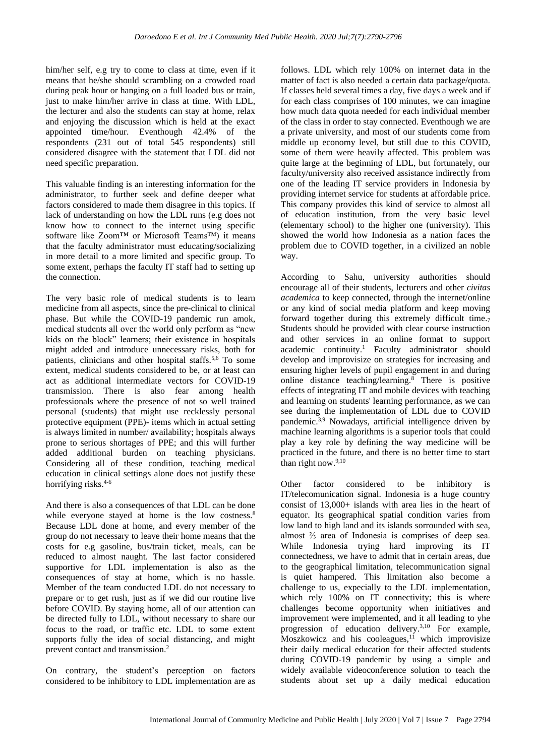him/her self, e.g try to come to class at time, even if it means that he/she should scrambling on a crowded road during peak hour or hanging on a full loaded bus or train, just to make him/her arrive in class at time. With LDL, the lecturer and also the students can stay at home, relax and enjoying the discussion which is held at the exact appointed time/hour. Eventhough 42.4% of the respondents (231 out of total 545 respondents) still considered disagree with the statement that LDL did not need specific preparation.

This valuable finding is an interesting information for the administrator, to further seek and define deeper what factors considered to made them disagree in this topics. If lack of understanding on how the LDL runs (e.g does not know how to connect to the internet using specific software like Zoom™ or Microsoft Teams™) it means that the faculty administrator must educating/socializing in more detail to a more limited and specific group. To some extent, perhaps the faculty IT staff had to setting up the connection.

The very basic role of medical students is to learn medicine from all aspects, since the pre-clinical to clinical phase. But while the COVID-19 pandemic run amok, medical students all over the world only perform as "new kids on the block" learners; their existence in hospitals might added and introduce unnecessary risks, both for patients, clinicians and other hospital staffs.5,6 To some extent, medical students considered to be, or at least can act as additional intermediate vectors for COVID-19 transmission. There is also fear among health professionals where the presence of not so well trained personal (students) that might use recklessly personal protective equipment (PPE)- items which in actual setting is always limited in number/ availability; hospitals always prone to serious shortages of PPE; and this will further added additional burden on teaching physicians. Considering all of these condition, teaching medical education in clinical settings alone does not justify these horrifying risks.<sup>4-6</sup>

And there is also a consequences of that LDL can be done while everyone stayed at home is the low costness.<sup>8</sup> Because LDL done at home, and every member of the group do not necessary to leave their home means that the costs for e.g gasoline, bus/train ticket, meals, can be reduced to almost naught. The last factor considered supportive for LDL implementation is also as the consequences of stay at home, which is no hassle. Member of the team conducted LDL do not necessary to prepare or to get rush, just as if we did our routine live before COVID. By staying home, all of our attention can be directed fully to LDL, without necessary to share our focus to the road, or traffic etc. LDL to some extent supports fully the idea of social distancing, and might prevent contact and transmission.<sup>2</sup>

On contrary, the student's perception on factors considered to be inhibitory to LDL implementation are as

follows. LDL which rely 100% on internet data in the matter of fact is also needed a certain data package/quota. If classes held several times a day, five days a week and if for each class comprises of 100 minutes, we can imagine how much data quota needed for each individual member of the class in order to stay connected. Eventhough we are a private university, and most of our students come from middle up economy level, but still due to this COVID, some of them were heavily affected. This problem was quite large at the beginning of LDL, but fortunately, our faculty/university also received assistance indirectly from one of the leading IT service providers in Indonesia by providing internet service for students at affordable price. This company provides this kind of service to almost all of education institution, from the very basic level (elementary school) to the higher one (university). This showed the world how Indonesia as a nation faces the problem due to COVID together, in a civilized an noble way.

According to Sahu, university authorities should encourage all of their students, lecturers and other *civitas academica* to keep connected, through the internet/online or any kind of social media platform and keep moving forward together during this extremely difficult time.<sup>7</sup> Students should be provided with clear course instruction and other services in an online format to support academic continuity.<sup>1</sup> Faculty administrator should develop and improvisize on strategies for increasing and ensuring higher levels of pupil engagement in and during online distance teaching/learning.<sup>8</sup> There is positive effects of integrating IT and mobile devices with teaching and learning on students' learning performance, as we can see during the implementation of LDL due to COVID pandemic.3,9 Nowadays, artificial intelligence driven by machine learning algorithms is a superior tools that could play a key role by defining the way medicine will be practiced in the future, and there is no better time to start than right now.<sup>9,10</sup>

Other factor considered to be inhibitory is IT/telecomunication signal. Indonesia is a huge country consist of 13,000+ islands with area lies in the heart of equator. Its geographical spatial condition varies from low land to high land and its islands sorrounded with sea, almost ⅔ area of Indonesia is comprises of deep sea. While Indonesia trying hard improving its IT connectedness, we have to admit that in certain areas, due to the geographical limitation, telecommunication signal is quiet hampered. This limitation also become a challenge to us, expecially to the LDL implementation, which rely 100% on IT connectivity; this is where challenges become opportunity when initiatives and improvement were implemented, and it all leading to yhe progression of education delivery.3,10 For example,  $M$ oszkowicz and his cooleagues,<sup>11</sup> which improvisize their daily medical education for their affected students during COVID-19 pandemic by using a simple and widely available videoconference solution to teach the students about set up a daily medical education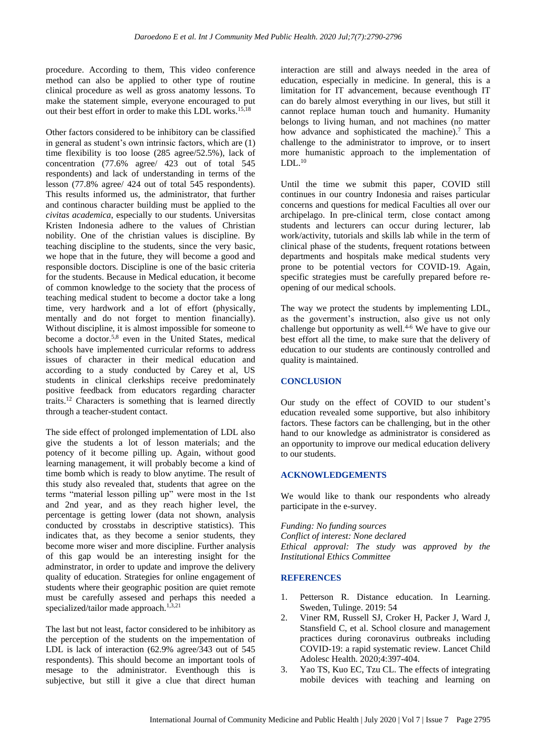procedure. According to them, This video conference method can also be applied to other type of routine clinical procedure as well as gross anatomy lessons. To make the statement simple, everyone encouraged to put out their best effort in order to make this LDL works.15,18

Other factors considered to be inhibitory can be classified in general as student's own intrinsic factors, which are (1) time flexibility is too loose (285 agree/52.5%), lack of concentration (77.6% agree/ 423 out of total 545 respondents) and lack of understanding in terms of the lesson (77.8% agree/ 424 out of total 545 respondents). This results informed us, the administrator, that further and continous character building must be applied to the *civitas academica*, especially to our students. Universitas Kristen Indonesia adhere to the values of Christian nobility. One of the christian values is discipline. By teaching discipline to the students, since the very basic, we hope that in the future, they will become a good and responsible doctors. Discipline is one of the basic criteria for the students. Because in Medical education, it become of common knowledge to the society that the process of teaching medical student to become a doctor take a long time, very hardwork and a lot of effort (physically, mentally and do not forget to mention financially). Without discipline, it is almost impossible for someone to become a doctor.<sup>5,8</sup> even in the United States, medical schools have implemented curricular reforms to address issues of character in their medical education and according to a study conducted by Carey et al, US students in clinical clerkships receive predominately positive feedback from educators regarding character traits.<sup>12</sup> Characters is something that is learned directly through a teacher-student contact.

The side effect of prolonged implementation of LDL also give the students a lot of lesson materials; and the potency of it become pilling up. Again, without good learning management, it will probably become a kind of time bomb which is ready to blow anytime. The result of this study also revealed that, students that agree on the terms "material lesson pilling up" were most in the 1st and 2nd year, and as they reach higher level, the percentage is getting lower (data not shown, analysis conducted by crosstabs in descriptive statistics). This indicates that, as they become a senior students, they become more wiser and more discipline. Further analysis of this gap would be an interesting insight for the adminstrator, in order to update and improve the delivery quality of education. Strategies for online engagement of students where their geographic position are quiet remote must be carefully assesed and perhaps this needed a specialized/tailor made approach. $1,3,21$ 

The last but not least, factor considered to be inhibitory as the perception of the students on the impementation of LDL is lack of interaction (62.9% agree/343 out of 545 respondents). This should become an important tools of mesage to the administrator. Eventhough this is subjective, but still it give a clue that direct human

interaction are still and always needed in the area of education, especially in medicine. In general, this is a limitation for IT advancement, because eventhough IT can do barely almost everything in our lives, but still it cannot replace human touch and humanity. Humanity belongs to living human, and not machines (no matter how advance and sophisticated the machine).<sup>7</sup> This a challenge to the administrator to improve, or to insert more humanistic approach to the implementation of  $LDL.<sup>10</sup>$ 

Until the time we submit this paper, COVID still continues in our country Indonesia and raises particular concerns and questions for medical Faculties all over our archipelago. In pre-clinical term, close contact among students and lecturers can occur during lecturer, lab work/activity, tutorials and skills lab while in the term of clinical phase of the students, frequent rotations between departments and hospitals make medical students very prone to be potential vectors for COVID-19. Again, specific strategies must be carefully prepared before reopening of our medical schools.

The way we protect the students by implementing LDL, as the goverment's instruction, also give us not only challenge but opportunity as well.<sup>4-6</sup> We have to give our best effort all the time, to make sure that the delivery of education to our students are continously controlled and quality is maintained.

#### **CONCLUSION**

Our study on the effect of COVID to our student's education revealed some supportive, but also inhibitory factors. These factors can be challenging, but in the other hand to our knowledge as administrator is considered as an opportunity to improve our medical education delivery to our students.

## **ACKNOWLEDGEMENTS**

We would like to thank our respondents who already participate in the e-survey.

*Funding: No funding sources Conflict of interest: None declared Ethical approval: The study was approved by the Institutional Ethics Committee*

#### **REFERENCES**

- 1. Petterson R. Distance education. In Learning. Sweden, Tulinge. 2019: 54
- 2. Viner RM, Russell SJ, Croker H, Packer J, Ward J, Stansfield C, et al. School closure and management practices during coronavirus outbreaks including COVID-19: a rapid systematic review. Lancet Child Adolesc Health. 2020;4:397-404.
- 3. Yao TS, Kuo EC, Tzu CL. The effects of integrating mobile devices with teaching and learning on